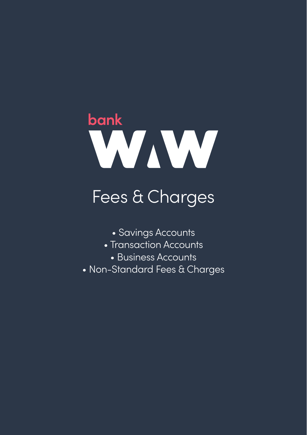# **bank** WAW

## Fees & Charges

- Savings Accounts
- Transaction Accounts
	- Business Accounts
- Non-Standard Fees & Charges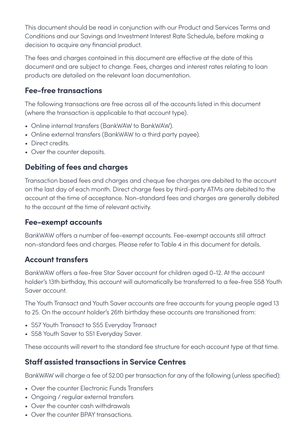This document should be read in conjunction with our Product and Services Terms and Conditions and our Savings and Investment Interest Rate Schedule, before making a decision to acquire any financial product.

The fees and charges contained in this document are effective at the date of this document and are subject to change. Fees, charges and interest rates relating to loan products are detailed on the relevant loan documentation.

#### **Fee-free transactions**

The following transactions are free across all of the accounts listed in this document (where the transaction is applicable to that account type).

- Online internal transfers (BankWAW to BankWAW).
- Online external transfers (BankWAW to a third party payee).
- Direct credits.
- Over the counter deposits.

#### **Debiting of fees and charges**

Transaction based fees and charges and cheque fee charges are debited to the account on the last day of each month. Direct charge fees by third-party ATMs are debited to the account at the time of acceptance. Non-standard fees and charges are generally debited to the account at the time of relevant activity.

#### **Fee-exempt accounts**

BankWAW offers a number of fee-exempt accounts. Fee-exempt accounts still attract non-standard fees and charges. Please refer to Table 4 in this document for details.

#### **Account transfers**

BankWAW offers a fee-free Star Saver account for children aged 0-12. At the account holder's 13th birthday, this account will automatically be transferred to a fee-free S58 Youth Saver account.

The Youth Transact and Youth Saver accounts are free accounts for young people aged 13 to 25. On the account holder's 26th birthday these accounts are transitioned from:

- S57 Youth Transact to S55 Everyday Transact
- S58 Youth Saver to S51 Everyday Saver.

These accounts will revert to the standard fee structure for each account type at that time.

#### **Staff assisted transactions in Service Centres**

BankWAW will charge a fee of \$2.00 per transaction for any of the following (unless specified):

- Over the counter Electronic Funds Transfers
- Ongoing / regular external transfers
- Over the counter cash withdrawals
- Over the counter BPAY transactions.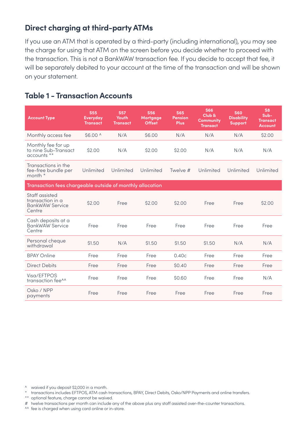#### **Direct charging at third-party ATMs**

If you use an ATM that is operated by a third-party (including international), you may see the charge for using that ATM on the screen before you decide whether to proceed with the transaction. This is not a BankWAW transaction fee. If you decide to accept that fee, it will be separately debited to your account at the time of the transaction and will be shown on your statement.

| <b>Account Type</b>                                                    | <b>S55</b><br><b>Everyday</b><br><b>Transact</b> | <b>S57</b><br>Youth<br><b>Transact</b> | <b>S56</b><br>Mortgage<br>Offset | <b>S65</b><br><b>Pension</b><br><b>Plus</b> | <b>S66</b><br>Club &<br><b>Community</b><br><b>Transact</b> | <b>S60</b><br><b>Disability</b><br><b>Support</b> | S8<br>Sub-<br><b>Transact</b><br><b>Account</b> |
|------------------------------------------------------------------------|--------------------------------------------------|----------------------------------------|----------------------------------|---------------------------------------------|-------------------------------------------------------------|---------------------------------------------------|-------------------------------------------------|
| Monthly access fee                                                     | \$6,00 ^                                         | N/A                                    | \$6.00                           | N/A                                         | N/A                                                         | N/A                                               | \$2.00                                          |
| Monthly fee for up<br>to nine Sub-Transact<br>accounts **              | \$2.00                                           | N/A                                    | \$2.00                           | \$2.00                                      | N/A                                                         | N/A                                               | N/A                                             |
| Transactions in the<br>fee-free bundle per<br>month *                  | Unlimited                                        | Unlimited                              | Unlimited                        | Twelve #                                    | Unlimited                                                   | Unlimited                                         | Unlimited                                       |
| Transaction fees chargeable outside of monthly allocation              |                                                  |                                        |                                  |                                             |                                                             |                                                   |                                                 |
| Staff assisted<br>transaction in a<br><b>BankWAW Service</b><br>Centre | \$2.00                                           | Free                                   | \$2.00                           | \$2.00                                      | Free                                                        | Free                                              | \$2.00                                          |
| Cash deposits at a<br>BankWAW Service<br>Centre                        | Free                                             | Free                                   | Free                             | Free                                        | Free                                                        | Free                                              | Free                                            |
| Personal cheque<br>withdrawal                                          | \$1.50                                           | N/A                                    | \$1.50                           | \$1.50                                      | \$1.50                                                      | N/A                                               | N/A                                             |
| <b>BPAY Online</b>                                                     | Free                                             | Free                                   | Free                             | 0.40c                                       | Free                                                        | Free                                              | Free                                            |
| <b>Direct Debits</b>                                                   | Free                                             | Free                                   | Free                             | \$0.40                                      | Free                                                        | Free                                              | Free                                            |
| Visa/EFTPOS<br>transaction fee <sup>^^</sup>                           | Free                                             | Free                                   | Free                             | \$0.60                                      | Free                                                        | Free                                              | N/A                                             |
| Osko / NPP<br>payments                                                 | Free                                             | Free                                   | Free                             | Free                                        | Free                                                        | Free                                              | Free                                            |

#### **Table 1 - Transaction Accounts**

- ^ waived if you deposit \$2,000 in a month.
- \* transactions includes EFTPOS, ATM cash transactions, BPAY, Direct Debits, Osko/NPP Payments and online transfers.
- \*\* optional feature, charge cannot be waived.
- # twelve transactions per month can include any of the above plus any staff assisted over-the-counter transactions.
- ^^ fee is charged when using card online or in-store.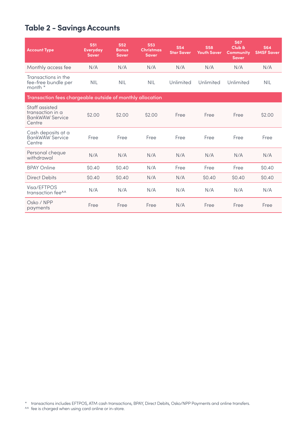#### **Table 2 - Savings Accounts**

| <b>Account Type</b>                                                    | <b>S51</b><br><b>Everyday</b><br><b>Saver</b> | <b>S52</b><br><b>Bonus</b><br><b>Saver</b> | <b>S53</b><br><b>Christmas</b><br><b>Saver</b> | <b>S54</b><br><b>Star Saver</b> | <b>S58</b><br><b>Youth Saver</b> | <b>S67</b><br>Club &<br><b>Community</b><br><b>Saver</b> | <b>S64</b><br><b>SMSF Saver</b> |
|------------------------------------------------------------------------|-----------------------------------------------|--------------------------------------------|------------------------------------------------|---------------------------------|----------------------------------|----------------------------------------------------------|---------------------------------|
| Monthly access fee                                                     | N/A                                           | N/A                                        | N/A                                            | N/A                             | N/A                              | N/A                                                      | N/A                             |
| Transactions in the<br>fee-free bundle per<br>month *                  | <b>NIL</b>                                    | <b>NIL</b>                                 | <b>NIL</b>                                     | Unlimited                       | Unlimited                        | Unlimited                                                | <b>NIL</b>                      |
| Transaction fees chargeable outside of monthly allocation              |                                               |                                            |                                                |                                 |                                  |                                                          |                                 |
| Staff assisted<br>transaction in a<br><b>BankWAW Service</b><br>Centre | \$2.00                                        | \$2.00                                     | \$2.00                                         | Free                            | Free                             | Free                                                     | \$2.00                          |
| Cash deposits at a<br><b>BankWAW Service</b><br>Centre                 | Free                                          | Free                                       | Free                                           | Free                            | Free                             | Free                                                     | Free                            |
| Personal cheque<br>withdrawal                                          | N/A                                           | N/A                                        | N/A                                            | N/A                             | N/A                              | N/A                                                      | N/A                             |
| <b>BPAY Online</b>                                                     | \$0.40                                        | \$0.40                                     | N/A                                            | Free                            | Free                             | Free                                                     | \$0.40                          |
| <b>Direct Debits</b>                                                   | \$0.40                                        | \$0.40                                     | N/A                                            | N/A                             | \$0.40                           | \$0.40                                                   | \$0.40                          |
| Visa/EFTPOS<br>transaction fee <sup>^^</sup>                           | N/A                                           | N/A                                        | N/A                                            | N/A                             | N/A                              | N/A                                                      | N/A                             |
| Osko / NPP<br>payments                                                 | Free                                          | Free                                       | Free                                           | N/A                             | Free                             | Free                                                     | Free                            |

\* transactions includes EFTPOS, ATM cash transactions, BPAY, Direct Debits, Osko/NPP Payments and online transfers.

^^ fee is charged when using card online or in-store.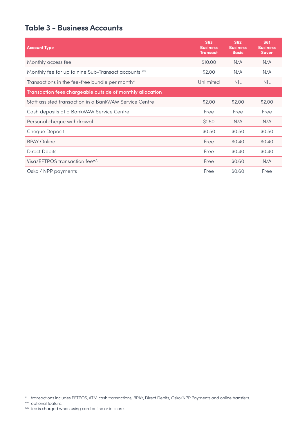#### **Table 3 - Business Accounts**

| <b>Account Type</b>                                       | <b>S63</b><br><b>Business</b><br><b>Transact</b> | <b>S62</b><br><b>Business</b><br><b>Basic</b> | <b>S61</b><br><b>Business</b><br><b>Saver</b> |
|-----------------------------------------------------------|--------------------------------------------------|-----------------------------------------------|-----------------------------------------------|
| Monthly access fee                                        | \$10,00                                          | N/A                                           | N/A                                           |
| Monthly fee for up to nine Sub-Transact accounts **       | \$2.00                                           | N/A                                           | N/A                                           |
| Transactions in the fee-free bundle per month*            | Unlimited                                        | <b>NIL</b>                                    | <b>NIL</b>                                    |
| Transaction fees chargeable outside of monthly allocation |                                                  |                                               |                                               |
| Staff assisted transaction in a BankWAW Service Centre    | \$2.00                                           | \$2.00                                        | \$2.00                                        |
| Cash deposits at a BankWAW Service Centre                 | Free                                             | Free                                          | Free                                          |
| Personal cheque withdrawal                                | \$1.50                                           | N/A                                           | N/A                                           |
| Cheque Deposit                                            | \$0.50                                           | \$0.50                                        | \$0.50                                        |
| <b>BPAY Online</b>                                        | Free                                             | \$0.40                                        | \$0.40                                        |
| <b>Direct Debits</b>                                      | Free                                             | \$0.40                                        | \$0.40                                        |
| Visa/EFTPOS transaction fee <sup>11</sup>                 | Free                                             | \$0.60                                        | N/A                                           |
| Osko / NPP payments                                       | Free                                             | \$0.60                                        | Free                                          |

<sup>\*</sup> transactions includes EFTPOS, ATM cash transactions, BPAY, Direct Debits, Osko/NPP Payments and online transfers.

<sup>\*\*</sup> optional feature. ^^ fee is charged when using card online or in-store.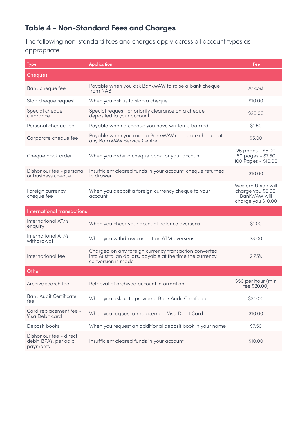#### **Table 4 - Non-Standard Fees and Charges**

The following non-standard fees and charges apply across all account types as appropriate.

| <b>Type</b>                                                 | <b>Application</b>                                                                                                                       | Fee                                                                            |
|-------------------------------------------------------------|------------------------------------------------------------------------------------------------------------------------------------------|--------------------------------------------------------------------------------|
| Cheques                                                     |                                                                                                                                          |                                                                                |
| Bank cheque fee                                             | Payable when you ask BankWAW to raise a bank cheque<br>from NAB                                                                          | At cost                                                                        |
| Stop cheque request                                         | When you ask us to stop a cheque                                                                                                         | \$10.00                                                                        |
| Special cheque<br>clearance                                 | Special request for priority clearance on a cheque<br>deposited to your account                                                          | \$20,00                                                                        |
| Personal cheque fee                                         | Payable when a cheque you have written is banked                                                                                         | \$1.50                                                                         |
| Corporate cheque fee                                        | Payable when you raise a BankWAW corporate cheque at<br>any BankWAW Service Centre                                                       | \$5.00                                                                         |
| Cheque book order                                           | When you order a cheque book for your account                                                                                            | 25 pages - \$5.00<br>50 pages - \$7.50<br>100 Pages - \$10.00                  |
| Dishonour fee - personal<br>or business cheque              | Insufficient cleared funds in your account, cheque returned<br>to drawer                                                                 | \$10,00                                                                        |
| Foreign currency<br>cheque fee                              | When you deposit a foreign currency cheque to your<br>account                                                                            | Western Union will<br>charge you \$5.00.<br>BankWAW will<br>charge you \$10.00 |
| <b>International transactions</b>                           |                                                                                                                                          |                                                                                |
| International ATM<br>enquiry                                | When you check your account balance overseas                                                                                             | \$1.00                                                                         |
| International ATM<br>withdrawal                             | When you withdraw cash at an ATM overseas                                                                                                | \$3.00                                                                         |
| International fee                                           | Charged on any foreign currency transaction converted<br>into Australian dollars, payable at the time the currency<br>conversion is made | 2.75%                                                                          |
| Other                                                       |                                                                                                                                          |                                                                                |
| Archive search fee                                          | Retrieval of archived account information                                                                                                | \$50 per hour (min<br>fee \$20.00)                                             |
| <b>Bank Audit Certificate</b><br>fee                        | When you ask us to provide a Bank Audit Certificate                                                                                      | \$30.00                                                                        |
| Card replacement fee -<br>Visa Debit card                   | When you request a replacement Visa Debit Card                                                                                           | \$10,00                                                                        |
| Deposit books                                               | When you request an additional deposit book in your name                                                                                 | \$7.50                                                                         |
| Dishonour fee - direct<br>debit, BPAY, periodic<br>payments | Insufficient cleared funds in your account                                                                                               | \$10,00                                                                        |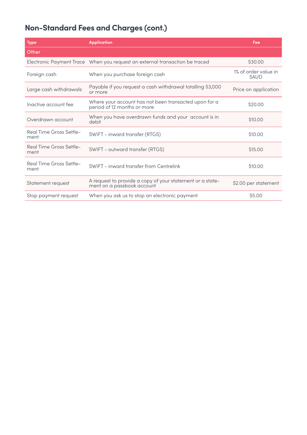### **Non-Standard Fees and Charges (cont.)**

| <b>Type</b>                     | <b>Application</b>                                                                      | Fee                                 |
|---------------------------------|-----------------------------------------------------------------------------------------|-------------------------------------|
| Other                           |                                                                                         |                                     |
|                                 | Electronic Payment Trace When you request an external transaction be traced             | \$30.00                             |
| Foreign cash                    | When you purchase foreign cash                                                          | 1% of order value in<br><b>SAUD</b> |
| Large cash withdrawals          | Payable if you request a cash withdrawal totalling \$3,000<br>or more                   | Price on application                |
| Inactive account fee            | Where your account has not been transacted upon for a<br>period of 12 months or more    | \$20.00                             |
| Overdrawn account               | When you have overdrawn funds and your account is in<br>debit                           | \$10,00                             |
| Real Time Gross Settle-<br>ment | SWIFT - inward transfer (RTGS)                                                          | \$10.00                             |
| Real Time Gross Settle-<br>ment | SWIFT - outward transfer (RTGS)                                                         | \$15.00                             |
| Real Time Gross Settle-<br>ment | SWIFT - inward transfer from Centrelink                                                 | \$10.00                             |
| Statement request               | A request to provide a copy of your statement or a state-<br>ment on a passbook account | \$2.00 per statement                |
| Stop payment request            | When you ask us to stop an electronic payment                                           | \$5.00                              |